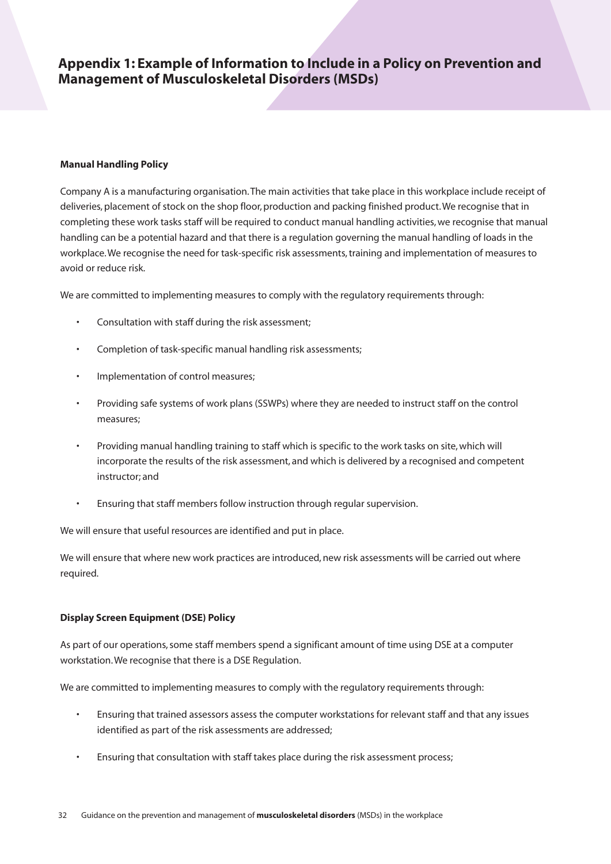### **Appendix 1: Example of Information to Include in a Policy on Prevention and Management of Musculoskeletal Disorders (MSDs)**

#### **Manual Handling Policy**

Company A is a manufacturing organisation. The main activities that take place in this workplace include receipt of deliveries, placement of stock on the shop floor, production and packing finished product. We recognise that in completing these work tasks staff will be required to conduct manual handling activities, we recognise that manual handling can be a potential hazard and that there is a regulation governing the manual handling of loads in the workplace. We recognise the need for task-specific risk assessments, training and implementation of measures to avoid or reduce risk.

We are committed to implementing measures to comply with the regulatory requirements through:

- Consultation with staff during the risk assessment;
- Completion of task-specific manual handling risk assessments;
- Implementation of control measures;
- Providing safe systems of work plans (SSWPs) where they are needed to instruct staff on the control measures;
- Providing manual handling training to staff which is specific to the work tasks on site, which will incorporate the results of the risk assessment, and which is delivered by a recognised and competent instructor; and
- Ensuring that staff members follow instruction through regular supervision.

We will ensure that useful resources are identified and put in place.

We will ensure that where new work practices are introduced, new risk assessments will be carried out where required.

### **Display Screen Equipment (DSE) Policy**

As part of our operations, some staff members spend a significant amount of time using DSE at a computer workstation. We recognise that there is a DSE Regulation.

We are committed to implementing measures to comply with the regulatory requirements through:

- Ensuring that trained assessors assess the computer workstations for relevant staff and that any issues identified as part of the risk assessments are addressed;
- Ensuring that consultation with staff takes place during the risk assessment process;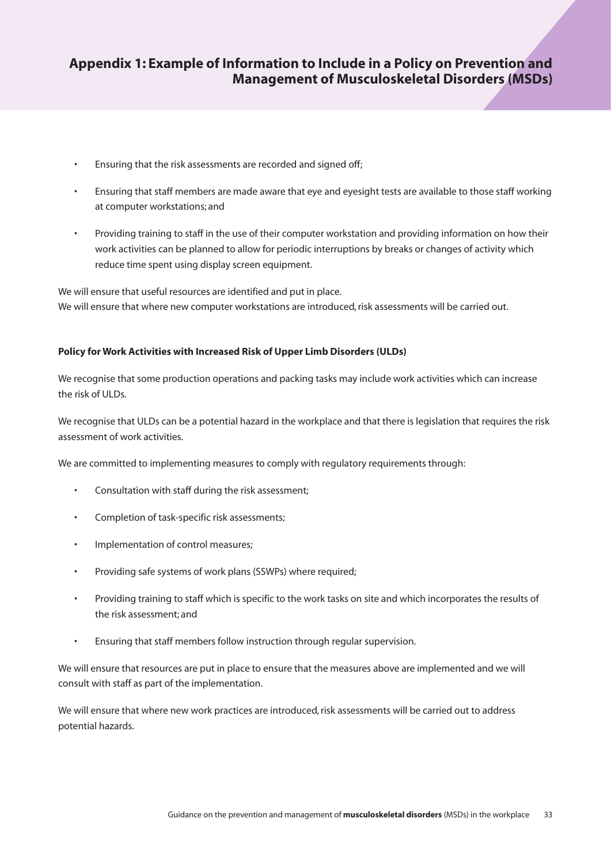## **Appendix 1: Example of Information to Include in a Policy on Prevention and Management of Musculoskeletal Disorders (MSDs)**

- Ensuring that the risk assessments are recorded and signed off;
- Ensuring that staff members are made aware that eye and eyesight tests are available to those staff working at computer workstations; and
- Providing training to staff in the use of their computer workstation and providing information on how their work activities can be planned to allow for periodic interruptions by breaks or changes of activity which reduce time spent using display screen equipment.

We will ensure that useful resources are identified and put in place. We will ensure that where new computer workstations are introduced, risk assessments will be carried out.

### **Policy for Work Activities with Increased Risk of Upper Limb Disorders (ULDs)**

We recognise that some production operations and packing tasks may include work activities which can increase the risk of ULDs.

We recognise that ULDs can be a potential hazard in the workplace and that there is legislation that requires the risk assessment of work activities.

We are committed to implementing measures to comply with regulatory requirements through:

- Consultation with staff during the risk assessment;
- Completion of task-specific risk assessments;
- Implementation of control measures;
- Providing safe systems of work plans (SSWPs) where required;
- Providing training to staff which is specific to the work tasks on site and which incorporates the results of the risk assessment; and
- Ensuring that staff members follow instruction through regular supervision.

We will ensure that resources are put in place to ensure that the measures above are implemented and we will consult with staff as part of the implementation.

We will ensure that where new work practices are introduced, risk assessments will be carried out to address potential hazards.